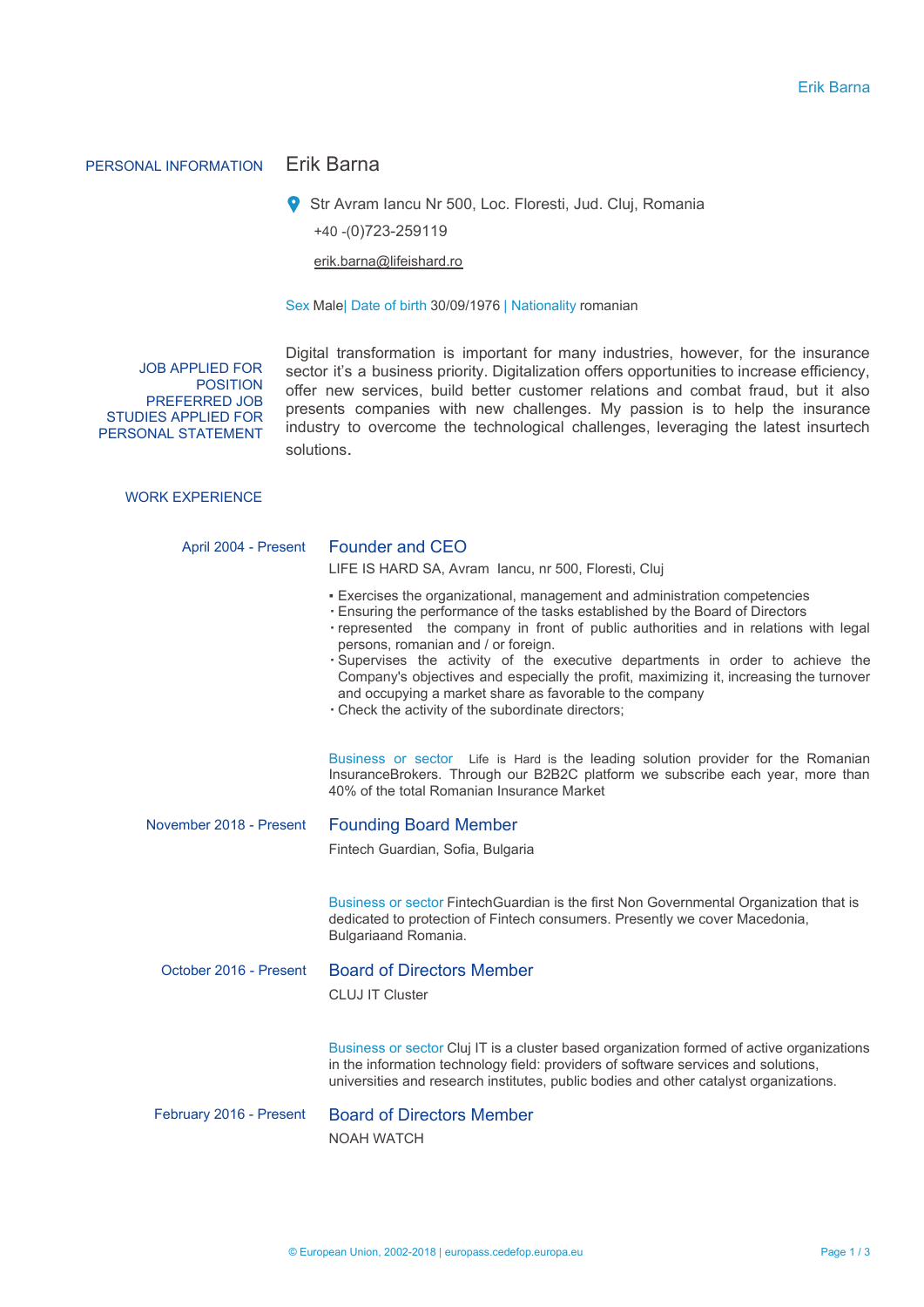# PERSONAL INFORMATION Erik Barna

Str Avram Iancu Nr 500, Loc. Floresti, Jud. Cluj, Romania +40 -(0)723-259119

erik.barna@lifeishard.ro

Sex Male| Date of birth 30/09/1976 | Nationality romanian

JOB APPLIED FOR POSITION PREFERRED JOB STUDIES APPLIED FOR PERSONAL STATEMENT

Digital transformation is important for many industries, however, for the insurance sector it's a business priority. Digitalization offers opportunities to increase efficiency, offer new services, build better customer relations and combat fraud, but it also presents companies with new challenges. My passion is to help the insurance industry to overcome the technological challenges, leveraging the latest insurtech solutions.

# WORK EXPERIENCE

| April 2004 - Present    | <b>Founder and CEO</b><br>LIFE IS HARD SA, Avram Jancu, nr 500, Floresti, Cluj                                                                                                                                                                                                                                                                                                                                                                                                                                                                                                           |
|-------------------------|------------------------------------------------------------------------------------------------------------------------------------------------------------------------------------------------------------------------------------------------------------------------------------------------------------------------------------------------------------------------------------------------------------------------------------------------------------------------------------------------------------------------------------------------------------------------------------------|
|                         | - Exercises the organizational, management and administration competencies<br>. Ensuring the performance of the tasks established by the Board of Directors<br>· represented the company in front of public authorities and in relations with legal<br>persons, romanian and / or foreign.<br>· Supervises the activity of the executive departments in order to achieve the<br>Company's objectives and especially the profit, maximizing it, increasing the turnover<br>and occupying a market share as favorable to the company<br>. Check the activity of the subordinate directors; |
|                         | Business or sector Life is Hard is the leading solution provider for the Romanian<br>InsuranceBrokers. Through our B2B2C platform we subscribe each year, more than<br>40% of the total Romanian Insurance Market                                                                                                                                                                                                                                                                                                                                                                        |
| November 2018 - Present | <b>Founding Board Member</b>                                                                                                                                                                                                                                                                                                                                                                                                                                                                                                                                                             |
|                         | Fintech Guardian, Sofia, Bulgaria                                                                                                                                                                                                                                                                                                                                                                                                                                                                                                                                                        |
|                         | Business or sector FintechGuardian is the first Non Governmental Organization that is<br>dedicated to protection of Fintech consumers. Presently we cover Macedonia,<br>Bulgariaand Romania.                                                                                                                                                                                                                                                                                                                                                                                             |
| October 2016 - Present  | <b>Board of Directors Member</b>                                                                                                                                                                                                                                                                                                                                                                                                                                                                                                                                                         |
|                         | <b>CLUJ IT Cluster</b>                                                                                                                                                                                                                                                                                                                                                                                                                                                                                                                                                                   |
|                         | Business or sector Cluj IT is a cluster based organization formed of active organizations<br>in the information technology field: providers of software services and solutions,<br>universities and research institutes, public bodies and other catalyst organizations.                                                                                                                                                                                                                                                                                                                 |
| February 2016 - Present | <b>Board of Directors Member</b>                                                                                                                                                                                                                                                                                                                                                                                                                                                                                                                                                         |
|                         | <b>NOAH WATCH</b>                                                                                                                                                                                                                                                                                                                                                                                                                                                                                                                                                                        |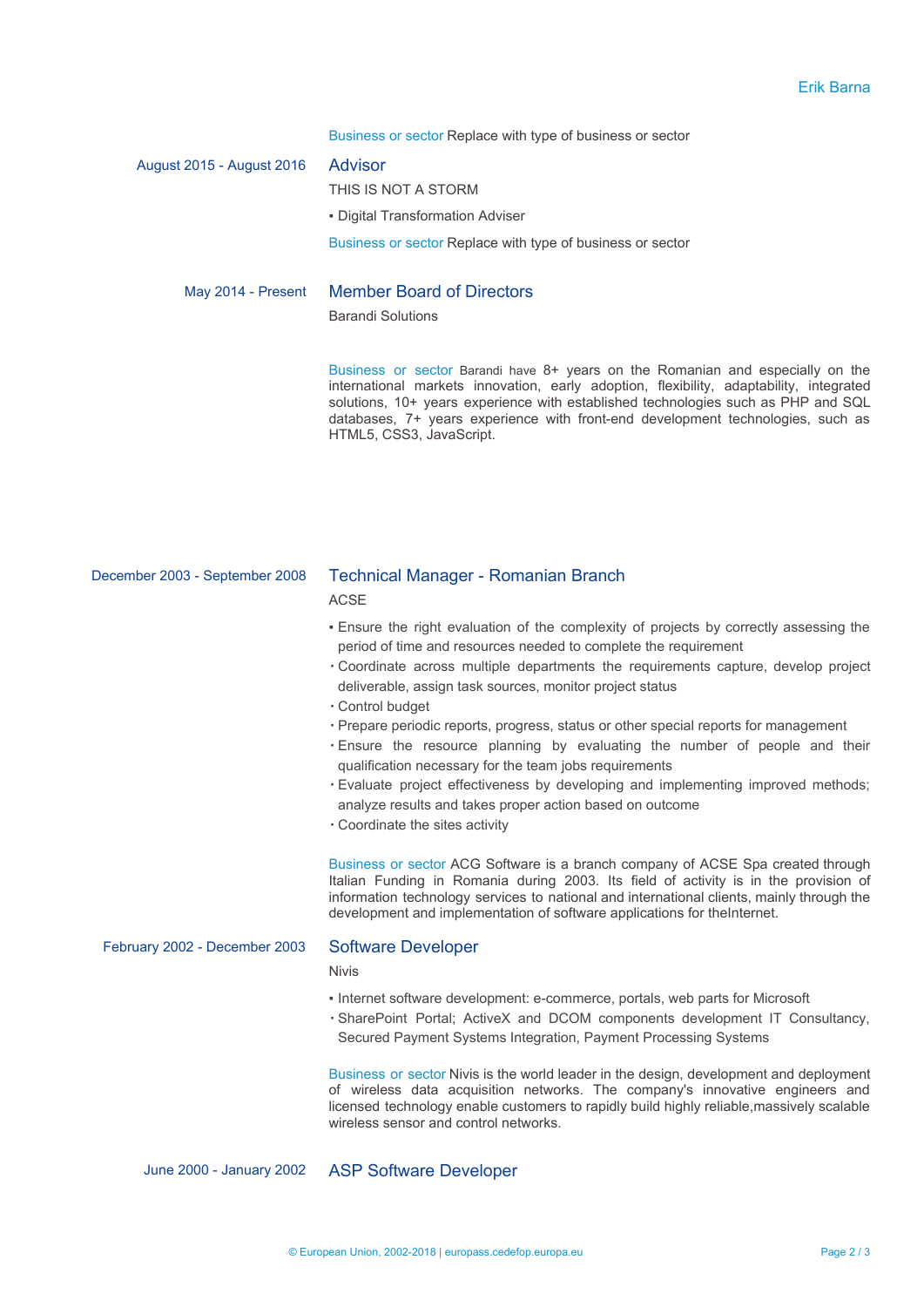Business or sector Replace with type of business or sector

| August 2015 - August 2016 | Advisor                                                      |  |  |
|---------------------------|--------------------------------------------------------------|--|--|
|                           | THIS IS NOT A STORM                                          |  |  |
|                           | - Digital Transformation Adviser                             |  |  |
|                           | Business or sector Replace with type of business or sector   |  |  |
| May 2014 - Present        | <b>Member Board of Directors</b><br><b>Barandi Solutions</b> |  |  |

Business or sector Barandi have 8+ years on the Romanian and especially on the international markets innovation, early adoption, flexibility, adaptability, integrated solutions, 10+ years experience with established technologies such as PHP and SQL databases, 7+ years experience with front-end development technologies, such as HTML5, CSS3, JavaScript.

# December 2003 - September 2008 Technical Manager - Romanian Branch

**ACSE** 

- Ensure the right evaluation of the complexity of projects by correctly assessing the period of time and resources needed to complete the requirement
- Coordinate across multiple departments the requirements capture, develop project deliverable, assign task sources, monitor project status
- Control budget
- Prepare periodic reports, progress, status or other special reports for management
- Ensure the resource planning by evaluating the number of people and their qualification necessary for the team jobs requirements
- Evaluate project effectiveness by developing and implementing improved methods; analyze results and takes proper action based on outcome
- Coordinate the sites activity

Business or sector ACG Software is a branch company of ACSE Spa created through Italian Funding in Romania during 2003. Its field of activity is in the provision of information technology services to national and international clients, mainly through the development and implementation of software applications for theInternet.

#### February 2002 - December 2003 Software Developer

Nivis

- Internet software development: e-commerce, portals, web parts for Microsoft
- SharePoint Portal; ActiveX and DCOM components development IT Consultancy, Secured Payment Systems Integration, Payment Processing Systems

Business or sector Nivis is the world leader in the design, development and deployment of wireless data acquisition networks. The company's innovative engineers and licensed technology enable customers to rapidly build highly reliable,massively scalable wireless sensor and control networks.

June 2000 - January 2002 ASP Software Developer